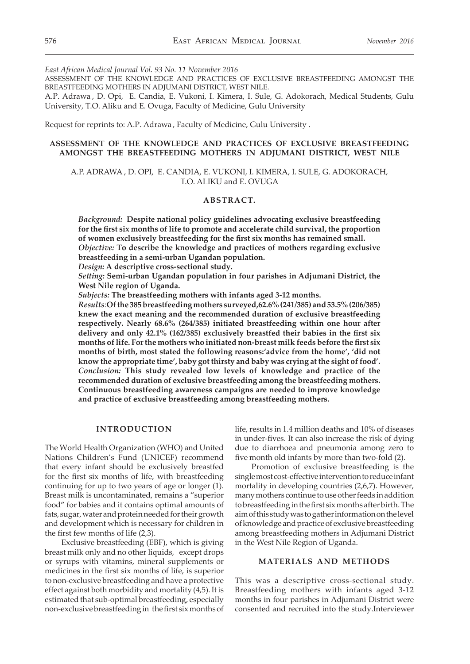*East African Medical Journal Vol. 93 No. 11 November 2016*

ASSESSMENT OF THE KNOWLEDGE AND PRACTICES OF EXCLUSIVE BREASTFEEDING AMONGST THE BREASTFEEDING MOTHERS IN ADJUMANI DISTRICT, WEST NILE.

A.P. Adrawa , D. Opi, E. Candia, E. Vukoni, I. Kimera, I. Sule, G. Adokorach, Medical Students, Gulu University, T.O. Aliku and E. Ovuga, Faculty of Medicine, Gulu University

Request for reprints to: A.P. Adrawa , Faculty of Medicine, Gulu University .

# **ASSESSMENT OF THE KNOWLEDGE AND PRACTICES OF EXCLUSIVE BREASTFEEDING AMONGST THE BREASTFEEDING MOTHERS IN ADJUMANI DISTRICT, WEST NILE**

A.P. ADRAWA , D. OPI, E. CANDIA, E. VUKONI, I. KIMERA, I. SULE, G. ADOKORACH, T.O. ALIKU and E. OVUGA

#### **ABSTRACT.**

*Background:* **Despite national policy guidelines advocating exclusive breastfeeding for the first six months of life to promote and accelerate child survival, the proportion of women exclusively breastfeeding for the first six months has remained small.**  *Objective:* **To describe the knowledge and practices of mothers regarding exclusive breastfeeding in a semi-urban Ugandan population.** 

*Design:* **A descriptive cross-sectional study.**

*Setting:* **Semi-urban Ugandan population in four parishes in Adjumani District, the West Nile region of Uganda.** 

*Subjects:* **The breastfeeding mothers with infants aged 3-12 months.**

*Results:***Of the 385 breastfeeding mothers surveyed,62.6% (241/385) and 53.5% (206/385) knew the exact meaning and the recommended duration of exclusive breastfeeding respectively. Nearly 68.6% (264/385) initiated breastfeeding within one hour after delivery and only 42.1% (162/385) exclusively breastfed their babies in the first six months of life. For the mothers who initiated non-breast milk feeds before the first six months of birth, most stated the following reasons:'advice from the home', 'did not know the appropriate time', baby got thirsty and baby was crying at the sight of food'.** *Conclusion:* **This study revealed low levels of knowledge and practice of the recommended duration of exclusive breastfeeding among the breastfeeding mothers. Continuous breastfeeding awareness campaigns are needed to improve knowledge and practice of exclusive breastfeeding among breastfeeding mothers.** 

#### **INTRODUCTION**

The World Health Organization (WHO) and United Nations Children's Fund (UNICEF) recommend that every infant should be exclusively breastfed for the first six months of life, with breastfeeding continuing for up to two years of age or longer (1). Breast milk is uncontaminated, remains a "superior food" for babies and it contains optimal amounts of fats, sugar, water and protein needed for their growth and development which is necessary for children in the first few months of life (2,3).

Exclusive breastfeeding (EBF), which is giving breast milk only and no other liquids, except drops or syrups with vitamins, mineral supplements or medicines in the first six months of life, is superior to non-exclusive breastfeeding and have a protective effect against both morbidity and mortality (4,5). It is estimated that sub-optimal breastfeeding, especially non-exclusive breastfeeding in the first six months of life, results in 1.4 million deaths and 10% of diseases in under-fives. It can also increase the risk of dying due to diarrhoea and pneumonia among zero to five month old infants by more than two-fold (2).

Promotion of exclusive breastfeeding is the single most cost-effective intervention to reduce infant mortality in developing countries (2,6,7). However, many mothers continue to use other feeds in addition to breastfeeding in the first six months after birth. The aim of this study was to gather information on the level of knowledge and practice of exclusive breastfeeding among breastfeeding mothers in Adjumani District in the West Nile Region of Uganda.

## **MATERIALS AND METHODS**

This was a descriptive cross-sectional study. Breastfeeding mothers with infants aged 3-12 months in four parishes in Adjumani District were consented and recruited into the study.Interviewer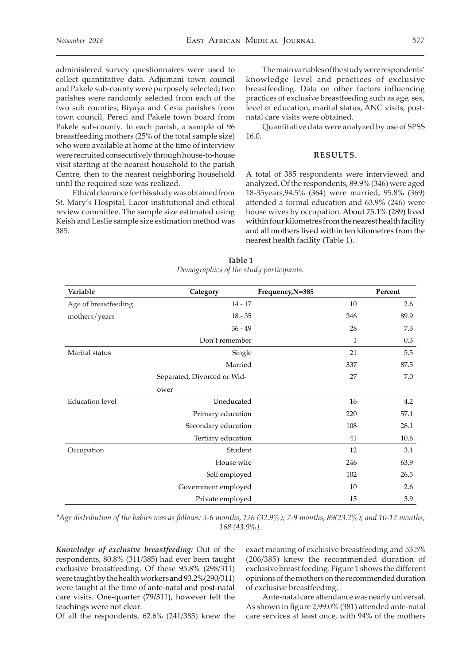administered survey questionnaires were used to collect quantitative data. Adjumani town council and Pakele sub-county were purposely selected; two parishes were randomly selected from each of the two sub counties; Biyaya and Cesia parishes from town council, Pereci and Pakele town board from Pakele sub-county. In each parish, a sample of 96 breastfeeding mothers (25% of the total sample size) who were available at home at the time of interview were recruited consecutively through house-to-house visit starting at the nearest household to the parish Centre, then to the nearest neighboring household until the required size was realized.

Ethical clearance for this study was obtained from St. Mary's Hospital, Lacor institutional and ethical review committee. The sample size estimated using Keish and Leslie sample size estimation method was 385.

The main variables of the study were respondents' knowledge level and practices of exclusive breastfeeding. Data on other factors influencing practices of exclusive breastfeeding such as age, sex, level of education, marital status, ANC visits, postnatal care visits were obtained.

Quantitative data were analyzed by use of SPSS 16.0.

# **RESULTS.**

A total of 385 respondents were interviewed and analyzed. Of the respondents, 89.9% (346) were aged 18-35years,94.5% (364) were married, 95.8% (369) attended a formal education and 63.9% (246) were house wives by occupation. About 75.1% (289) lived within four kilometres from the nearest health facility and all mothers lived within ten kilometres from the nearest health facility (Table 1).

| Variable               | Category                    | Frequency, N=385 |     | Percent |
|------------------------|-----------------------------|------------------|-----|---------|
| Age of breastfeeding   | $14 - 17$                   |                  | 10  | 2.6     |
| mothers/years          | $18 - 35$                   |                  | 346 | 89.9    |
|                        | $36 - 49$                   |                  | 28  | 7.3     |
|                        | Don't remember              |                  | 1   | 0.3     |
| Marital status         | Single                      |                  | 21  | 5.5     |
|                        | Married                     |                  | 337 | 87.5    |
|                        | Separated, Divorced or Wid- |                  | 27  | 7.0     |
|                        | ower                        |                  |     |         |
| <b>Education</b> level | Uneducated                  |                  | 16  | 4.2     |
|                        | Primary education           |                  | 220 | 57.1    |
|                        | Secondary education         |                  | 108 | 28.1    |
|                        | Tertiary education          |                  | 41  | 10.6    |
| Occupation             | Student                     |                  | 12  | 3.1     |
|                        | House wife                  |                  | 246 | 63.9    |
|                        | Self employed               |                  | 102 | 26.5    |
|                        | Government employed         |                  | 10  | 2.6     |
|                        | Private employed            |                  | 15  | 3.9     |

**Table 1** *Demographics of the study participants.*

*\*Age distribution of the babies was as follows: 3-6 months, 126 (32.9%); 7-9 months, 89(23.2%); and 10-12 months, 168 (43.9%).*

*Knowledge of exclusive breastfeeding:* Out of the respondents, 80.8% (311/385) had ever been taught exclusive breastfeeding. Of these 95.8% (298/311) were taught by the health workers and 93.2%(290/311) were taught at the time of ante-natal and post-natal care visits. One-quarter (79/311), however felt the teachings were not clear.

Of all the respondents, 62.6% (241/385) knew the

exact meaning of exclusive breastfeeding and 53.5% (206/385) knew the recommended duration of exclusive breast feeding. Figure 1 shows the different opinions of the mothers on the recommended duration of exclusive breastfeeding.

Ante-natal care attendance was nearly universal. As shown in figure 2,99.0% (381) attended ante-natal care services at least once, with 94% of the mothers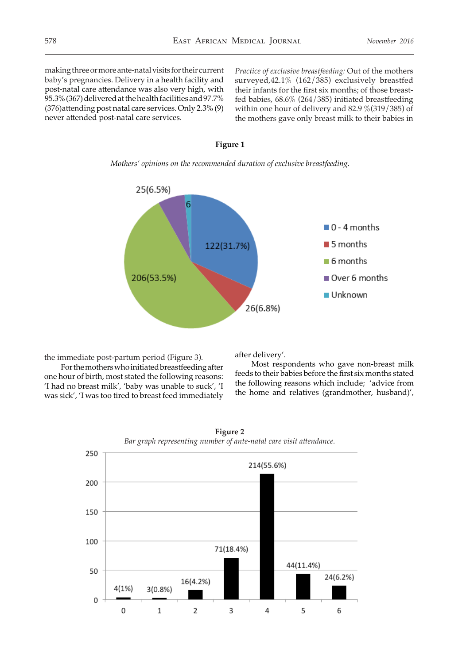making three or more ante-natal visits for their current baby's pregnancies. Delivery in a health facility and post-natal care attendance was also very high, with 95.3% (367) delivered at the health facilities and 97.7% (376)attending post natal care services. Only 2.3% (9) never attended post-natal care services.

*Practice of exclusive breastfeeding:* Out of the mothers surveyed,42.1% (162/385) exclusively breastfed their infants for the first six months; of those breastfed babies, 68.6% (264/385) initiated breastfeeding within one hour of delivery and 82.9 %(319/385) of the mothers gave only breast milk to their babies in



**Figure 1**

*Mothers' opinions on the recommended duration of exclusive breastfeeding.*

the immediate post-partum period (Figure 3).

For the mothers who initiated breastfeeding after one hour of birth, most stated the following reasons: 'I had no breast milk', 'baby was unable to suck', 'I was sick', 'I was too tired to breast feed immediately

after delivery'.

Most respondents who gave non-breast milk feeds to their babies before the first six months stated the following reasons which include; 'advice from the home and relatives (grandmother, husband)',



**Figure 2**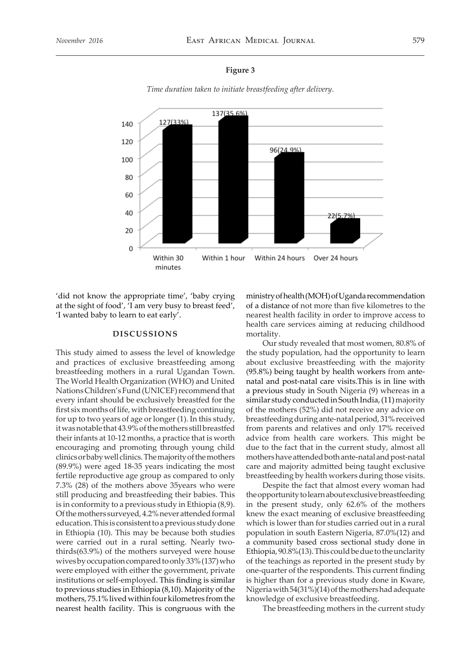#### **Figure 3**

*Time duration taken to initiate breastfeeding after delivery.*



'did not know the appropriate time', 'baby crying at the sight of food', 'I am very busy to breast feed', 'I wanted baby to learn to eat early'.

## **DISCUSSIONS**

This study aimed to assess the level of knowledge and practices of exclusive breastfeeding among breastfeeding mothers in a rural Ugandan Town. The World Health Organization (WHO) and United Nations Children's Fund (UNICEF) recommend that every infant should be exclusively breastfed for the first six months of life, with breastfeeding continuing for up to two years of age or longer (1). In this study, it was notable that 43.9% of the mothers still breastfed their infants at 10-12 months, a practice that is worth encouraging and promoting through young child clinics or baby well clinics. The majority of the mothers (89.9%) were aged 18-35 years indicating the most fertile reproductive age group as compared to only 7.3% (28) of the mothers above 35years who were still producing and breastfeeding their babies. This is in conformity to a previous study in Ethiopia (8,9). Of the mothers surveyed, 4.2% never attended formal education. This is consistent to a previous study done in Ethiopia (10). This may be because both studies were carried out in a rural setting. Nearly twothirds(63.9%) of the mothers surveyed were house wives by occupation compared to only 33% (137) who were employed with either the government, private institutions or self-employed. This finding is similar to previous studies in Ethiopia (8,10). Majority of the mothers, 75.1% lived within four kilometres from the nearest health facility. This is congruous with the

ministry of health (MOH) of Uganda recommendation of a distance of not more than five kilometres to the nearest health facility in order to improve access to health care services aiming at reducing childhood mortality.

Our study revealed that most women, 80.8% of the study population, had the opportunity to learn about exclusive breastfeeding with the majority (95.8%) being taught by health workers from antenatal and post-natal care visits.This is in line with a previous study in South Nigeria (9) whereas in a similar study conducted in South India, (11) majority of the mothers (52%) did not receive any advice on breastfeeding during ante-natal period, 31% received from parents and relatives and only 17% received advice from health care workers. This might be due to the fact that in the current study, almost all mothers have attended both ante-natal and post-natal care and majority admitted being taught exclusive breastfeeding by health workers during those visits.

Despite the fact that almost every woman had the opportunity to learn about exclusive breastfeeding in the present study, only 62.6% of the mothers knew the exact meaning of exclusive breastfeeding which is lower than for studies carried out in a rural population in south Eastern Nigeria, 87.0%(12) and a community based cross sectional study done in Ethiopia, 90.8%(13). This could be due to the unclarity of the teachings as reported in the present study by one-quarter of the respondents. This current finding is higher than for a previous study done in Kware, Nigeria with 54(31%)(14) of the mothers had adequate knowledge of exclusive breastfeeding.

The breastfeeding mothers in the current study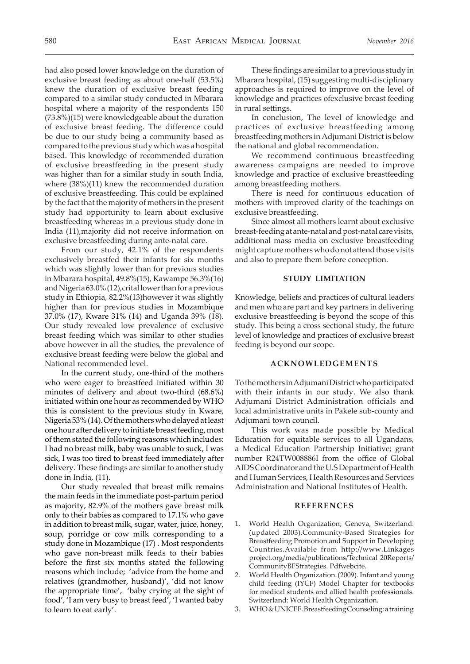had also posed lower knowledge on the duration of exclusive breast feeding as about one-half (53.5%) knew the duration of exclusive breast feeding compared to a similar study conducted in Mbarara hospital where a majority of the respondents 150 (73.8%)(15) were knowledgeable about the duration of exclusive breast feeding. The difference could be due to our study being a community based as compared to the previous study which was a hospital based. This knowledge of recommended duration of exclusive breastfeeding in the present study was higher than for a similar study in south India, where (38%)(11) knew the recommended duration of exclusive breastfeeding. This could be explained by the fact that the majority of mothers in the present study had opportunity to learn about exclusive breastfeeding whereas in a previous study done in India (11),majority did not receive information on exclusive breastfeeding during ante-natal care.

From our study, 42.1% of the respondents exclusively breastfed their infants for six months which was slightly lower than for previous studies in Mbarara hospital, 49.8%(15), Kawampe 56.3%(16) and Nigeria 63.0% (12),crital lower than for a previous study in Ethiopia, 82.2%(13)however it was slightly higher than for previous studies in Mozambique 37.0% (17), Kware 31% (14) and Uganda 39% (18). Our study revealed low prevalence of exclusive breast feeding which was similar to other studies above however in all the studies, the prevalence of exclusive breast feeding were below the global and National recommended level.

In the current study, one-third of the mothers who were eager to breastfeed initiated within 30 minutes of delivery and about two-third (68.6%) initiated within one hour as recommended by WHO this is consistent to the previous study in Kware, Nigeria 53% (14). Of the mothers who delayed at least one hour after delivery to initiate breast feeding, most of them stated the following reasons which includes: I had no breast milk, baby was unable to suck, I was sick, I was too tired to breast feed immediately after delivery. These findings are similar to another study done in India, (11).

Our study revealed that breast milk remains the main feeds in the immediate post-partum period as majority, 82.9% of the mothers gave breast milk only to their babies as compared to 17.1% who gave in addition to breast milk, sugar, water, juice, honey, soup, porridge or cow milk corresponding to a study done in Mozambique (17) . Most respondents who gave non-breast milk feeds to their babies before the first six months stated the following reasons which include; 'advice from the home and relatives (grandmother, husband)', 'did not know the appropriate time', 'baby crying at the sight of food', 'I am very busy to breast feed', 'I wanted baby to learn to eat early'.

These findings are similar to a previous study in Mbarara hospital, (15) suggesting multi-disciplinary approaches is required to improve on the level of knowledge and practices ofexclusive breast feeding in rural settings.

In conclusion, The level of knowledge and practices of exclusive breastfeeding among breastfeeding mothers in Adjumani District is below the national and global recommendation.

We recommend continuous breastfeeding awareness campaigns are needed to improve knowledge and practice of exclusive breastfeeding among breastfeeding mothers.

There is need for continuous education of mothers with improved clarity of the teachings on exclusive breastfeeding.

Since almost all mothers learnt about exclusive breast-feeding at ante-natal and post-natal care visits, additional mass media on exclusive breastfeeding might capture mothers who do not attend those visits and also to prepare them before conception.

## **STUDY LIMITATION**

Knowledge, beliefs and practices of cultural leaders and men who are part and key partners in delivering exclusive breastfeeding is beyond the scope of this study. This being a cross sectional study, the future level of knowledge and practices of exclusive breast feeding is beyond our scope.

# **ACKNOWLEDGEMENTS**

To the mothers in Adjumani District who participated with their infants in our study. We also thank Adjumani District Administration officials and local administrative units in Pakele sub-county and Adjumani town council.

This work was made possible by Medical Education for equitable services to all Ugandans, a Medical Education Partnership Initiative; grant number R24TW008886I from the office of Global AIDS Coordinator and the U.S Department of Health and Human Services, Health Resources and Services Administration and National Institutes of Health.

### **REFERENCES**

- 1. World Health Organization; Geneva, Switzerland: (updated 2003).Community-Based Strategies for Breastfeeding Promotion and Support in Developing Countries.Available from http://www.Linkages project.org/media/publications/Technical 20Reports/ CommunityBFStrategies. Pdfwebcite.
- 2. World Health Organization.(2009). Infant and young child feeding (IYCF) Model Chapter for textbooks for medical students and allied health professionals. Switzerland: World Health Organization.
- 3. WHO & UNICEF. Breastfeeding Counseling: a training